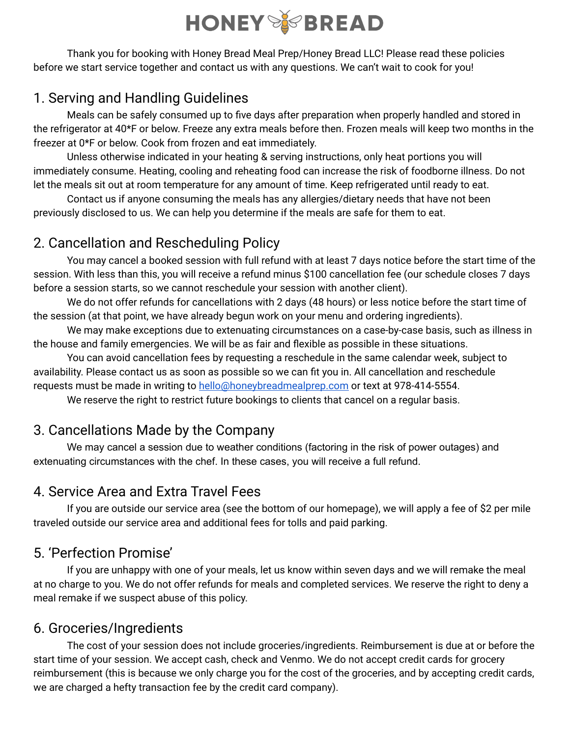# **HONEY SPREAD**

Thank you for booking with Honey Bread Meal Prep/Honey Bread LLC! Please read these policies before we start service together and contact us with any questions. We can't wait to cook for you!

## 1. Serving and Handling Guidelines

Meals can be safely consumed up to five days after preparation when properly handled and stored in the refrigerator at 40\*F or below. Freeze any extra meals before then. Frozen meals will keep two months in the freezer at 0\*F or below. Cook from frozen and eat immediately.

Unless otherwise indicated in your heating & serving instructions, only heat portions you will immediately consume. Heating, cooling and reheating food can increase the risk of foodborne illness. Do not let the meals sit out at room temperature for any amount of time. Keep refrigerated until ready to eat.

Contact us if anyone consuming the meals has any allergies/dietary needs that have not been previously disclosed to us. We can help you determine if the meals are safe for them to eat.

## 2. Cancellation and Rescheduling Policy

You may cancel a booked session with full refund with at least 7 days notice before the start time of the session. With less than this, you will receive a refund minus \$100 cancellation fee (our schedule closes 7 days before a session starts, so we cannot reschedule your session with another client).

We do not offer refunds for cancellations with 2 days (48 hours) or less notice before the start time of the session (at that point, we have already begun work on your menu and ordering ingredients).

We may make exceptions due to extenuating circumstances on a case-by-case basis, such as illness in the house and family emergencies. We will be as fair and flexible as possible in these situations.

You can avoid cancellation fees by requesting a reschedule in the same calendar week, subject to availability. Please contact us as soon as possible so we can fit you in. All cancellation and reschedule requests must be made in writing to [hello@honeybreadmealprep.com](mailto:hello@honeybreadmealprep.com) or text at 978-414-5554.

We reserve the right to restrict future bookings to clients that cancel on a regular basis.

## 3. Cancellations Made by the Company

We may cancel a session due to weather conditions (factoring in the risk of power outages) and extenuating circumstances with the chef. In these cases, you will receive a full refund.

#### 4. Service Area and Extra Travel Fees

If you are outside our service area (see the bottom of our homepage), we will apply a fee of \$2 per mile traveled outside our service area and additional fees for tolls and paid parking.

## 5. 'Perfection Promise'

If you are unhappy with one of your meals, let us know within seven days and we will remake the meal at no charge to you. We do not offer refunds for meals and completed services. We reserve the right to deny a meal remake if we suspect abuse of this policy.

#### 6. Groceries/Ingredients

The cost of your session does not include groceries/ingredients. Reimbursement is due at or before the start time of your session. We accept cash, check and Venmo. We do not accept credit cards for grocery reimbursement (this is because we only charge you for the cost of the groceries, and by accepting credit cards, we are charged a hefty transaction fee by the credit card company).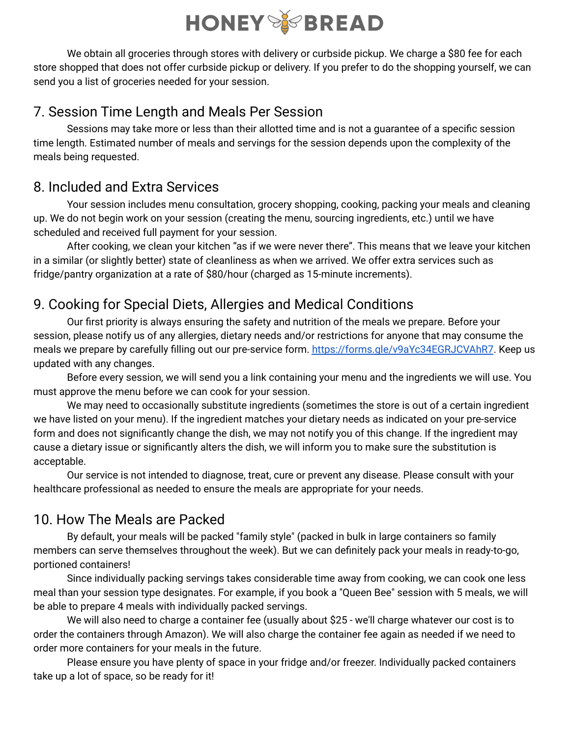

We obtain all groceries through stores with delivery or curbside pickup. We charge a \$80 fee for each store shopped that does not offer curbside pickup or delivery. If you prefer to do the shopping yourself, we can send you a list of groceries needed for your session.

#### 7. Session Time Length and Meals Per Session

Sessions may take more or less than their allotted time and is not a guarantee of a specific session time length. Estimated number of meals and servings for the session depends upon the complexity of the meals being requested.

#### 8. Included and Extra Services

Your session includes menu consultation, grocery shopping, cooking, packing your meals and cleaning up. We do not begin work on your session (creating the menu, sourcing ingredients, etc.) until we have scheduled and received full payment for your session.

After cooking, we clean your kitchen "as if we were never there". This means that we leave your kitchen in a similar (or slightly better) state of cleanliness as when we arrived. We offer extra services such as fridge/pantry organization at a rate of \$80/hour (charged as 15-minute increments).

## 9. Cooking for Special Diets, Allergies and Medical Conditions

Our first priority is always ensuring the safety and nutrition of the meals we prepare. Before your session, please notify us of any allergies, dietary needs and/or restrictions for anyone that may consume the meals we prepare by carefully filling out our pre-service form. <https://forms.gle/v9aYc34EGRJCVAhR7>. Keep us updated with any changes.

Before every session, we will send you a link containing your menu and the ingredients we will use. You must approve the menu before we can cook for your session.

We may need to occasionally substitute ingredients (sometimes the store is out of a certain ingredient we have listed on your menu). If the ingredient matches your dietary needs as indicated on your pre-service form and does not significantly change the dish, we may not notify you of this change. If the ingredient may cause a dietary issue or significantly alters the dish, we will inform you to make sure the substitution is acceptable.

Our service is not intended to diagnose, treat, cure or prevent any disease. Please consult with your healthcare professional as needed to ensure the meals are appropriate for your needs.

## 10. How The Meals are Packed

By default, your meals will be packed "family style" (packed in bulk in large containers so family members can serve themselves throughout the week). But we can definitely pack your meals in ready-to-go, portioned containers!

Since individually packing servings takes considerable time away from cooking, we can cook one less meal than your session type designates. For example, if you book a "Queen Bee" session with 5 meals, we will be able to prepare 4 meals with individually packed servings.

We will also need to charge a container fee (usually about \$25 - we'll charge whatever our cost is to order the containers through Amazon). We will also charge the container fee again as needed if we need to order more containers for your meals in the future.

Please ensure you have plenty of space in your fridge and/or freezer. Individually packed containers take up a lot of space, so be ready for it!